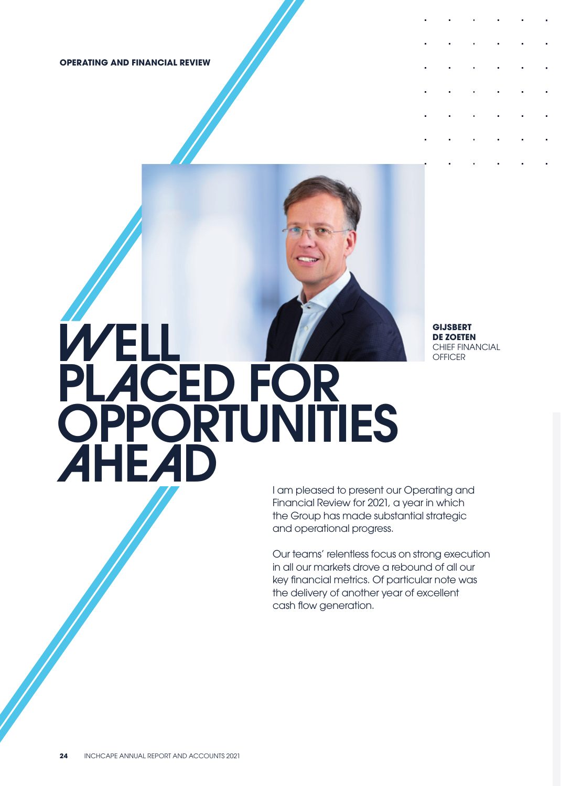**OPERATING AND FINANCIAL REVIEW**



**GIJSBERT DE ZOETEN** CHIEF FINANCIAL **OFFICER** 

I am pleased to present our Operating and Financial Review for 2021, a year in which the Group has made substantial strategic and operational progress.

Our teams' relentless focus on strong execution in all our markets drove a rebound of all our key financial metrics. Of particular note was the delivery of another year of excellent cash flow generation.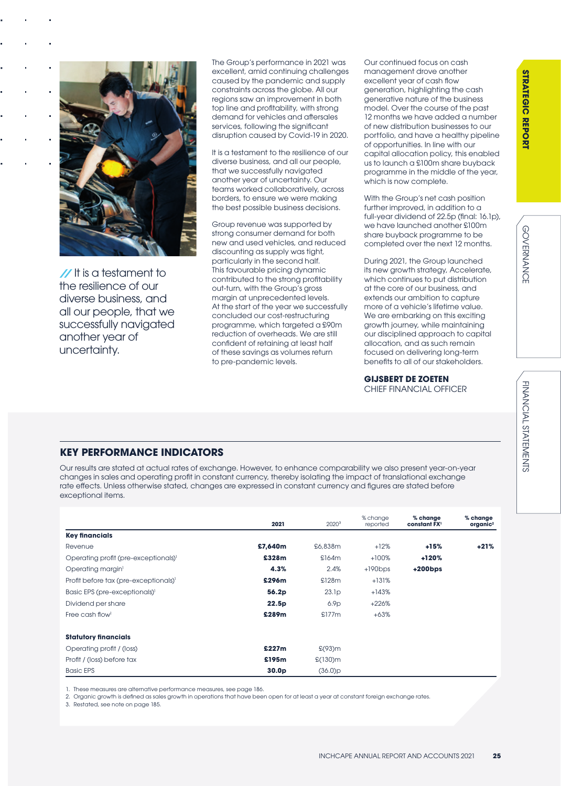

**//** It is a testament to the resilience of our diverse business, and all our people, that we successfully navigated another year of uncertainty.

The Group's performance in 2021 was excellent, amid continuing challenges caused by the pandemic and supply constraints across the globe. All our regions saw an improvement in both top line and profitability, with strong demand for vehicles and aftersales services, following the significant disruption caused by Covid-19 in 2020.

It is a testament to the resilience of our diverse business, and all our people, that we successfully navigated another year of uncertainty. Our teams worked collaboratively, across borders, to ensure we were making the best possible business decisions.

Group revenue was supported by strong consumer demand for both new and used vehicles, and reduced discounting as supply was tight, particularly in the second half. This favourable pricing dynamic contributed to the strong profitability out-turn, with the Group's gross margin at unprecedented levels. At the start of the year we successfully concluded our cost-restructuring programme, which targeted a £90m reduction of overheads. We are still confident of retaining at least half of these savings as volumes return to pre-pandemic levels.

Our continued focus on cash management drove another excellent year of cash flow generation, highlighting the cash generative nature of the business model. Over the course of the past 12 months we have added a number of new distribution businesses to our portfolio, and have a healthy pipeline of opportunities. In line with our capital allocation policy, this enabled us to launch a £100m share buyback programme in the middle of the year, which is now complete.

With the Group's net cash position further improved, in addition to a full-year dividend of 22.5p (final: 16.1p), we have launched another £100m share buyback programme to be completed over the next 12 months.

During 2021, the Group launched its new growth strategy, Accelerate, which continues to put distribution at the core of our business, and extends our ambition to capture more of a vehicle's lifetime value. We are embarking on this exciting growth journey, while maintaining our disciplined approach to capital allocation, and as such remain focused on delivering long-term benefits to all of our stakeholders.

### **GIJSBERT DE ZOETEN**

CHIEF FINANCIAL OFFICER

### **KEY PERFORMANCE INDICATORS**

Our results are stated at actual rates of exchange. However, to enhance comparability we also present year-on-year changes in sales and operating profit in constant currency, thereby isolating the impact of translational exchange rate effects. Unless otherwise stated, changes are expressed in constant currency and figures are stated before exceptional items.

|                                                   | 2021              | $2020^3$          | % change<br>reported | % change<br>constant FX <sup>1</sup> | % change<br>organic <sup>2</sup> |
|---------------------------------------------------|-------------------|-------------------|----------------------|--------------------------------------|----------------------------------|
| <b>Key financials</b>                             |                   |                   |                      |                                      |                                  |
| Revenue                                           | £7,640m           | £6,838m           | $+12%$               | $+15%$                               | $+21%$                           |
| Operating profit (pre-exceptionals) <sup>1</sup>  | £328m             | \$164m            | $+100%$              | +120%                                |                                  |
| Operating margin <sup>1</sup>                     | 4.3%              | 2.4%              | $+190bps$            | $+200$ bps                           |                                  |
| Profit before tax (pre-exceptionals) <sup>1</sup> | £296m             | \$128m            | $+131%$              |                                      |                                  |
| Basic EPS (pre-exceptionals) <sup>1</sup>         | 56.2p             | 23.1 <sub>p</sub> | $+143%$              |                                      |                                  |
| Dividend per share                                | 22.5p             | 6.9 <sub>p</sub>  | $+226%$              |                                      |                                  |
| Free cash flow <sup>1</sup>                       | £289m             | \$177m            | $+63%$               |                                      |                                  |
| <b>Statutory financials</b>                       |                   |                   |                      |                                      |                                  |
| Operating profit / (loss)                         | £227m             | $E(93)$ m         |                      |                                      |                                  |
| Profit / (loss) before tax                        | £195m             | $£(130)$ m        |                      |                                      |                                  |
| <b>Basic EPS</b>                                  | 30.0 <sub>p</sub> | (36.0)p           |                      |                                      |                                  |

1. These measures are alternative performance measures, see page 186.

2. Organic growth is defined as sales growth in operations that have been open for at least a year at constant foreign exchange rates.

3. Restated, see note on page 185.

**GOVERNANCE**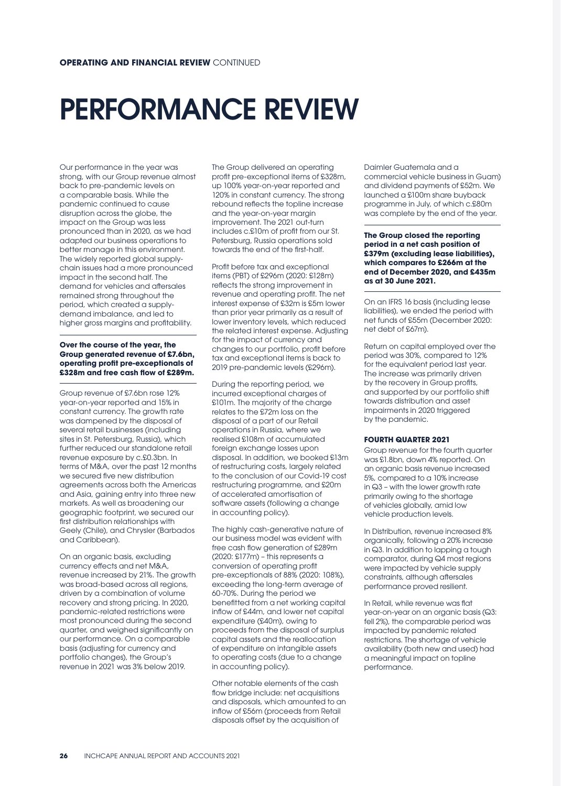# PERFORMANCE REVIEW

Our performance in the year was strong, with our Group revenue almost back to pre-pandemic levels on a comparable basis. While the pandemic continued to cause disruption across the globe, the impact on the Group was less pronounced than in 2020, as we had adapted our business operations to better manage in this environment. The widely reported global supplychain issues had a more pronounced impact in the second half. The demand for vehicles and aftersales remained strong throughout the period, which created a supplydemand imbalance, and led to higher gross margins and profitability.

### **Over the course of the year, the Group generated revenue of £7.6bn, operating profit pre-exceptionals of £328m and free cash flow of £289m.**

Group revenue of £7.6bn rose 12% year-on-year reported and 15% in constant currency. The growth rate was dampened by the disposal of several retail businesses (including sites in St. Petersburg, Russia), which further reduced our standalone retail revenue exposure by c.£0.3bn. In terms of M&A, over the past 12 months we secured five new distribution agreements across both the Americas and Asia, gaining entry into three new markets. As well as broadening our geographic footprint, we secured our first distribution relationships with Geely (Chile), and Chrysler (Barbados and Caribbean).

On an organic basis, excluding currency effects and net M&A, revenue increased by 21%. The growth was broad-based across all regions, driven by a combination of volume recovery and strong pricing. In 2020, pandemic-related restrictions were most pronounced during the second quarter, and weighed significantly on our performance. On a comparable basis (adjusting for currency and portfolio changes), the Group's revenue in 2021 was 3% below 2019.

The Group delivered an operating profit pre-exceptional items of £328m, up 100% year-on-year reported and 120% in constant currency. The strong rebound reflects the topline increase and the year-on-year margin improvement. The 2021 out-turn includes c.£10m of profit from our St. Petersburg, Russia operations sold towards the end of the first-half.

Profit before tax and exceptional items (PBT) of £296m (2020: £128m) reflects the strong improvement in revenue and operating profit. The net interest expense of £32m is £5m lower than prior year primarily as a result of lower inventory levels, which reduced the related interest expense. Adjusting for the impact of currency and changes to our portfolio, profit before tax and exceptional items is back to 2019 pre-pandemic levels (£296m).

During the reporting period, we incurred exceptional charges of £101m. The majority of the charge relates to the £72m loss on the disposal of a part of our Retail operations in Russia, where we realised £108m of accumulated foreign exchange losses upon disposal. In addition, we booked £13m of restructuring costs, largely related to the conclusion of our Covid-19 cost restructuring programme, and £20m of accelerated amortisation of software assets (following a change in accounting policy).

The highly cash-generative nature of our business model was evident with free cash flow generation of £289m (2020: £177m) – this represents a conversion of operating profit pre-exceptionals of 88% (2020: 108%), exceeding the long-term average of 60-70%. During the period we benefitted from a net working capital inflow of £44m, and lower net capital expenditure (£40m), owing to proceeds from the disposal of surplus capital assets and the reallocation of expenditure on intangible assets to operating costs (due to a change in accounting policy).

Other notable elements of the cash flow bridge include: net acquisitions and disposals, which amounted to an inflow of £56m (proceeds from Retail disposals offset by the acquisition of

Daimler Guatemala and a commercial vehicle business in Guam) and dividend payments of £52m. We launched a £100m share buyback programme in July, of which c.£80m was complete by the end of the year.

**The Group closed the reporting period in a net cash position of £379m (excluding lease liabilities), which compares to £266m at the end of December 2020, and £435m as at 30 June 2021.** 

On an IFRS 16 basis (including lease liabilities), we ended the period with net funds of £55m (December 2020: net debt of £67m).

Return on capital employed over the period was 30%, compared to 12% for the equivalent period last year. The increase was primarily driven by the recovery in Group profits, and supported by our portfolio shift towards distribution and asset impairments in 2020 triggered by the pandemic.

### **FOURTH QUARTER 2021**

Group revenue for the fourth quarter was £1.8bn, down 4% reported. On an organic basis revenue increased 5%, compared to a 10% increase in Q3 – with the lower growth rate primarily owing to the shortage of vehicles globally, amid low vehicle production levels.

In Distribution, revenue increased 8% organically, following a 20% increase in Q3. In addition to lapping a tough comparator, during Q4 most regions were impacted by vehicle supply constraints, although aftersales performance proved resilient.

In Retail, while revenue was flat year-on-year on an organic basis (Q3: fell 2%), the comparable period was impacted by pandemic related restrictions. The shortage of vehicle availability (both new and used) had a meaningful impact on topline performance.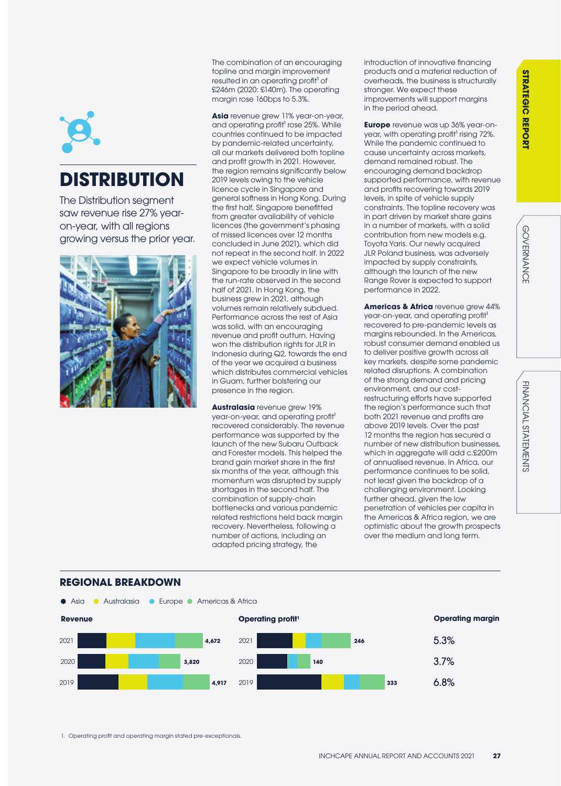GOVERNANCE

**GOVERNANCE** 



# **DISTRIBUTION**

The Distribution segment saw revenue rise 27% yearon-year, with all regions growing versus the prior year.



**REGIONAL BREAKDOWN**

The combination of an encouraging topline and margin improvement resulted in an operating profit<sup>1</sup> of £246m (2020: £140m). The operating margin rose 160bps to 5.3%.

**Asia** revenue grew 11% year-on-year, and operating profit<sup>1</sup> rose 25%. While countries continued to be impacted by pandemic-related uncertainty, all our markets delivered both topline and profit growth in 2021. However, the region remains significantly below 2019 levels owing to the vehicle licence cycle in Singapore and general softness in Hong Kong. During the first half, Singapore benefitted from greater availability of vehicle licences (the government's phasing of missed licences over 12 months concluded in June 2021), which did not repeat in the second half. In 2022 we expect vehicle volumes in Singapore to be broadly in line with the run-rate observed in the second half of 2021. In Hong Kong, the business grew in 2021, although volumes remain relatively subdued. Performance across the rest of Asia was solid, with an encouraging revenue and profit outturn. Having won the distribution rights for JLR in Indonesia during Q2, towards the end of the year we acquired a business which distributes commercial vehicles in Guam, further bolstering our presence in the region.

**Australasia** revenue grew 19% year-on-year, and operating profit<sup>1</sup> recovered considerably. The revenue performance was supported by the launch of the new Subaru Outback and Forester models. This helped the brand gain market share in the first six months of the year, although this momentum was disrupted by supply shortages in the second half. The combination of supply-chain bottlenecks and various pandemic related restrictions held back margin recovery. Nevertheless, following a number of actions, including an adapted pricing strategy, the

introduction of innovative financing products and a material reduction of overheads, the business is structurally stronger. We expect these improvements will support margins in the period ahead.

**Europe** revenue was up 36% year-onyear, with operating profit<sup>1</sup> rising 72%. While the pandemic continued to cause uncertainty across markets, demand remained robust. The encouraging demand backdrop supported performance, with revenue and profits recovering towards 2019 levels, in spite of vehicle supply constraints. The topline recovery was in part driven by market share gains in a number of markets, with a solid contribution from new models e.g. Toyota Yaris. Our newly acquired JLR Poland business, was adversely impacted by supply constraints, although the launch of the new Range Rover is expected to support performance in 2022.

**Americas & Africa** revenue grew 44% year-on-year, and operating profit<sup>1</sup> recovered to pre-pandemic levels as margins rebounded. In the Americas, robust consumer demand enabled us to deliver positive growth across all key markets, despite some pandemic related disruptions. A combination of the strong demand and pricing environment, and our costrestructuring efforts have supported the region's performance such that both 2021 revenue and profits are above 2019 levels. Over the past 12 months the region has secured a number of new distribution businesses, which in aggregate will add c.£200m of annualised revenue. In Africa, our performance continues to be solid, not least given the backdrop of a challenging environment. Looking further ahead, given the low penetration of vehicles per capita in the Americas & Africa region, we are optimistic about the growth prospects over the medium and long term.

### **Revenue Operating profitive and** *Coperating profitive and Coperating margin* **<b>Operating margin 4,917 3,820** 2021 **4,672** 2020 2019 **333 333 334 335 4,917 2019 336 335 140** 2021 **246** 2020 2019 5.3% 3.7% 6.8% **•** Asia • Australasia • Europe • Americas & Africa

1. Operating profit and operating margin stated pre-exceptionals.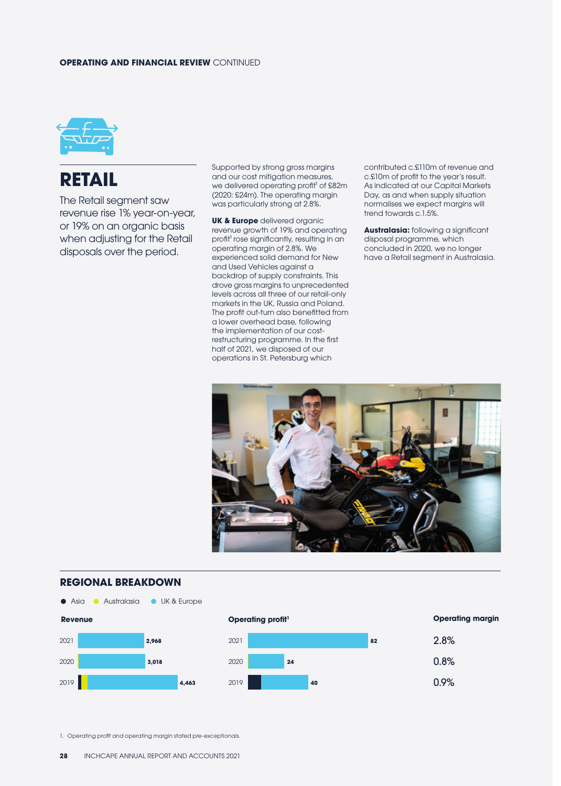### **OPERATING AND FINANCIAL REVIEW** CONTINUED



## **RETAIL**

The Retail segment saw revenue rise 1% year-on-year, or 19% on an organic basis when adjusting for the Retail disposals over the period.

Supported by strong gross margins and our cost mitigation measures, we delivered operating profit<sup>1</sup> of £82m (2020: £24m). The operating margin was particularly strong at 2.8%.

**UK & Europe** delivered organic revenue growth of 19% and operating profit<sup>1</sup> rose significantly, resulting in an operating margin of 2.8%. We experienced solid demand for New and Used Vehicles against a backdrop of supply constraints. This drove gross margins to unprecedented levels across all three of our retail-only markets in the UK, Russia and Poland. The profit out-turn also benefitted from a lower overhead base, following the implementation of our costrestructuring programme. In the first half of 2021, we disposed of our operations in St. Petersburg which

contributed c.£110m of revenue and c.£10m of profit to the year's result. As indicated at our Capital Markets Day, as and when supply situation normalises we expect margins will trend towards c.1.5%.

**Australasia:** following a significant disposal programme, which concluded in 2020, we no longer have a Retail segment in Australasia.



### **REGIONAL BREAKDOWN**







1. Operating profit and operating margin stated pre-exceptionals.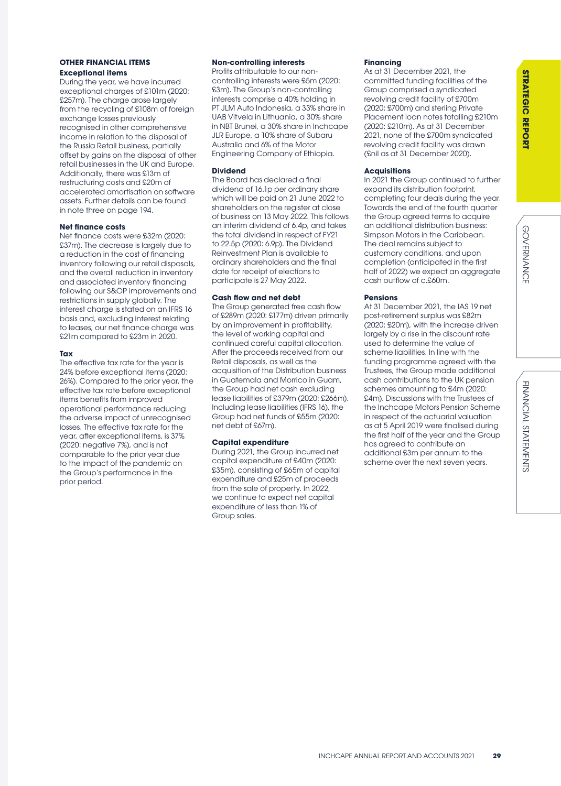# **STRATEGIC REPORT STRATEGIC REPORT**

### **OTHER FINANCIAL ITEMS**

### **Exceptional items**

During the year, we have incurred exceptional charges of £101m (2020: £257m). The charge arose largely from the recycling of £108m of foreign exchange losses previously recognised in other comprehensive income in relation to the disposal of the Russia Retail business, partially offset by gains on the disposal of other retail businesses in the UK and Europe. Additionally, there was £13m of restructuring costs and £20m of accelerated amortisation on software assets. Further details can be found in note three on page 194.

### **Net finance costs**

Net finance costs were £32m (2020: £37m). The decrease is largely due to a reduction in the cost of financing inventory following our retail disposals, and the overall reduction in inventory and associated inventory financing following our S&OP improvements and restrictions in supply globally. The interest charge is stated on an IFRS 16 basis and, excluding interest relating to leases, our net finance charge was £21m compared to £23m in 2020.

### **Tax**

The effective tax rate for the year is 24% before exceptional items (2020: 26%). Compared to the prior year, the effective tax rate before exceptional items benefits from improved operational performance reducing the adverse impact of unrecognised losses. The effective tax rate for the year, after exceptional items, is 37% (2020: negative 7%), and is not comparable to the prior year due to the impact of the pandemic on the Group's performance in the prior period.

### **Non-controlling interests**

Profits attributable to our noncontrolling interests were £5m (2020: £3m). The Group's non-controlling interests comprise a 40% holding in PT JLM Auto Indonesia, a 33% share in UAB Vitvela in Lithuania, a 30% share in NBT Brunei, a 30% share in Inchcape JLR Europe, a 10% share of Subaru Australia and 6% of the Motor Engineering Company of Ethiopia.

### **Dividend**

The Board has declared a final dividend of 16.1p per ordinary share which will be paid on 21 June 2022 to shareholders on the register at close of business on 13 May 2022. This follows an interim dividend of 6.4p, and takes the total dividend in respect of FY21 to 22.5p (2020: 6.9p). The Dividend Reinvestment Plan is available to ordinary shareholders and the final date for receipt of elections to participate is 27 May 2022.

### **Cash flow and net debt**

The Group generated free cash flow of £289m (2020: £177m) driven primarily by an improvement in profitability, the level of working capital and continued careful capital allocation. After the proceeds received from our Retail disposals, as well as the acquisition of the Distribution business in Guatemala and Morrico in Guam, the Group had net cash excluding lease liabilities of £379m (2020: £266m). Including lease liabilities (IFRS 16), the Group had net funds of £55m (2020: net debt of £67m).

### **Capital expenditure**

During 2021, the Group incurred net capital expenditure of £40m (2020: £35m), consisting of £65m of capital expenditure and £25m of proceeds from the sale of property. In 2022, we continue to expect net capital expenditure of less than 1% of Group sales.

### **Financing**

As at 31 December 2021, the committed funding facilities of the Group comprised a syndicated revolving credit facility of £700m (2020: £700m) and sterling Private Placement loan notes totalling £210m (2020: £210m). As at 31 December 2021, none of the £700m syndicated revolving credit facility was drawn (£nil as at 31 December 2020).

### **Acquisitions**

In 2021 the Group continued to further expand its distribution footprint, completing four deals during the year. Towards the end of the fourth quarter the Group agreed terms to acquire an additional distribution business: Simpson Motors in the Caribbean. The deal remains subject to customary conditions, and upon completion (anticipated in the first half of 2022) we expect an aggregate cash outflow of c.£60m.

### **Pensions**

At 31 December 2021, the IAS 19 net post-retirement surplus was £82m (2020: £20m), with the increase driven largely by a rise in the discount rate used to determine the value of scheme liabilities. In line with the funding programme agreed with the Trustees, the Group made additional cash contributions to the UK pension schemes amounting to £4m (2020: £4m). Discussions with the Trustees of the Inchcape Motors Pension Scheme in respect of the actuarial valuation as at 5 April 2019 were finalised during the first half of the year and the Group has agreed to contribute an additional £3m per annum to the scheme over the next seven years.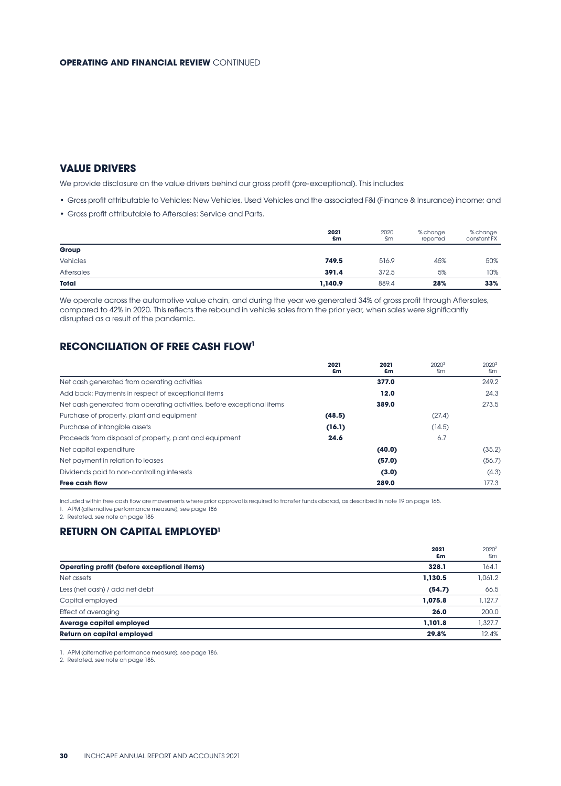### **VALUE DRIVERS**

We provide disclosure on the value drivers behind our gross profit (pre-exceptional). This includes:

- Gross profit attributable to Vehicles: New Vehicles, Used Vehicles and the associated F&I (Finance & Insurance) income; and
- Gross profit attributable to Aftersales: Service and Parts.

|                 | 2021<br>£m | 2020<br>£m | % change<br>reported | % change<br>constant FX |
|-----------------|------------|------------|----------------------|-------------------------|
| Group           |            |            |                      |                         |
| <b>Vehicles</b> | 749.5      | 516.9      | 45%                  | 50%                     |
| Aftersales      | 391.4      | 372.5      | 5%                   | 10%                     |
| Total           | 1,140.9    | 889.4      | 28%                  | 33%                     |

We operate across the automotive value chain, and during the year we generated 34% of gross profit through Aftersales, compared to 42% in 2020. This reflects the rebound in vehicle sales from the prior year, when sales were significantly disrupted as a result of the pandemic.

### **RECONCILIATION OF FREE CASH FLOW<sup>1</sup>**

|                                                                        | 2021<br>£m | 2021<br>£m | 2020 <sup>2</sup><br>£m | $2020^2$<br>£m |
|------------------------------------------------------------------------|------------|------------|-------------------------|----------------|
| Net cash generated from operating activities                           |            | 377.0      |                         | 249.2          |
| Add back: Payments in respect of exceptional items                     |            | 12.0       |                         | 24.3           |
| Net cash generated from operating activities, before exceptional items |            | 389.0      |                         | 273.5          |
| Purchase of property, plant and equipment                              | (48.5)     |            | (27.4)                  |                |
| Purchase of intangible assets                                          | (16.1)     |            | (14.5)                  |                |
| Proceeds from disposal of property, plant and equipment                | 24.6       |            | 6.7                     |                |
| Net capital expenditure                                                |            | (40.0)     |                         | (35.2)         |
| Net payment in relation to leases                                      |            | (57.0)     |                         | (56.7)         |
| Dividends paid to non-controlling interests                            |            | (3.0)      |                         | (4.3)          |
| <b>Free cash flow</b>                                                  |            | 289.0      |                         | 177.3          |

Included within free cash flow are movements where prior approval is required to transfer funds aborad, as described in note 19 on page 165.

1. APM (alternative performance measure), see page 186

2. Restated, see note on page 185

### **RETURN ON CAPITAL EMPLOYED1**

|                                                    | 2021<br>£m | 2020 <sup>2</sup><br>£m |
|----------------------------------------------------|------------|-------------------------|
| <b>Operating profit (before exceptional items)</b> | 328.1      | 164.1                   |
| Net assets                                         | 1,130.5    | 1,061.2                 |
| Less (net cash) / add net debt                     | (54.7)     | 66.5                    |
| Capital employed                                   | 1.075.8    | 1,127.7                 |
| Effect of averaging                                | 26.0       | 200.0                   |
| <b>Average capital employed</b>                    | 1.101.8    | 1,327.7                 |
| <b>Return on capital employed</b>                  | 29.8%      | 12.4%                   |

1. APM (alternative performance measure), see page 186.

2. Restated, see note on page 185.